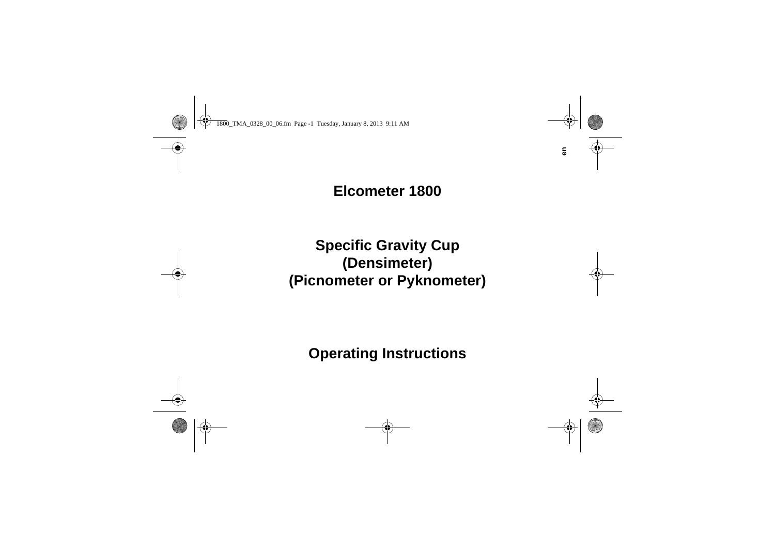# **Elcometer 1800**

# **Specific Gravity Cup (Densimeter) (Picnometer or Pyknometer)**

# **Operating Instructions**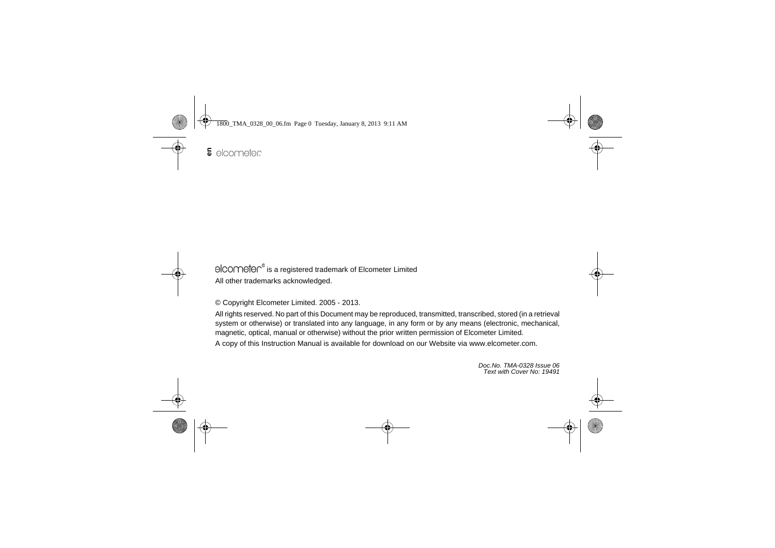elcometen® is a registered trademark of Elcometer Limited All other trademarks acknowledged.

© Copyright Elcometer Limited. 2005 - 2013.

All rights reserved. No part of this Document may be reproduced, transmitted, transcribed, stored (in a retrieval system or otherwise) or translated into any language, in any form or by any means (electronic, mechanical, magnetic, optical, manual or otherwise) without the prior written permission of Elcometer Limited.

A copy of this Instruction Manual is available for download on our Website via [www.elcometer.com.](http://www.elcometer.com/downloads)

*Doc.No. TMA-0328 Issue 06Text with Cover No: 19491*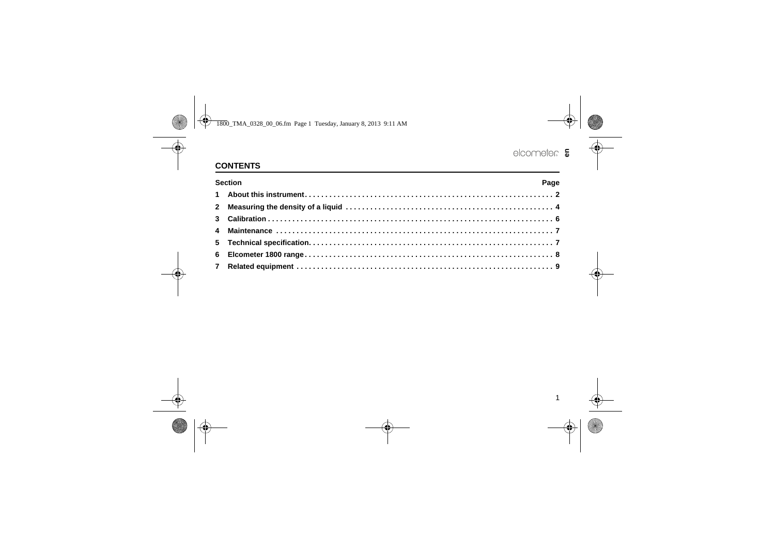# **CONTENTS**

| <b>Section</b><br>Page |  |  |  |  |
|------------------------|--|--|--|--|
|                        |  |  |  |  |
|                        |  |  |  |  |
|                        |  |  |  |  |
|                        |  |  |  |  |
|                        |  |  |  |  |
|                        |  |  |  |  |
|                        |  |  |  |  |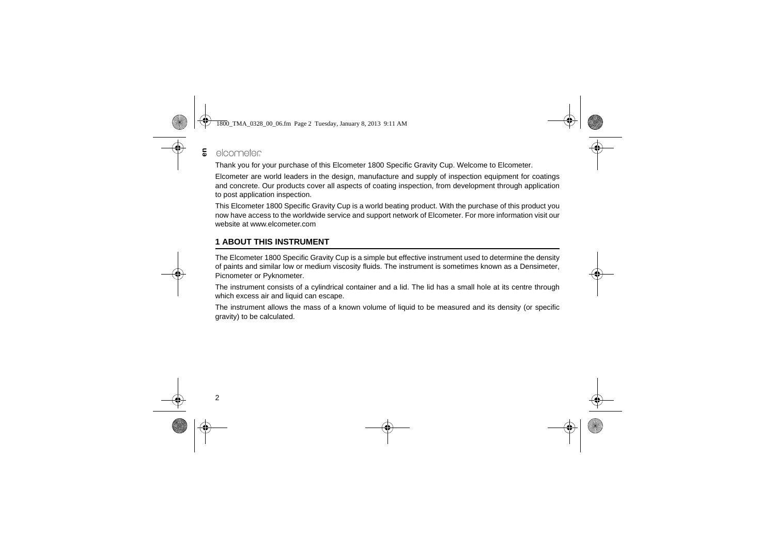#### elcometer **en**

Thank you for your purchase of this Elcometer 1800 Specific Gravity Cup. Welcome to Elcometer.

Elcometer are world leaders in the design, manufacture and supply of inspection equipment for coatings and concrete. Our products cover all aspects of coating inspection, from development through application to post application inspection.

This Elcometer 1800 Specific Gravity Cup is a world beating product. With the purchase of this product you now have access to the worldwide service and support network of Elcometer. For more information visit our website at [www.elcometer.com](http://www.elcometer.com)

## <span id="page-3-0"></span>**1 ABOUT THIS INSTRUMENT**

The Elcometer 1800 Specific Gravity Cup is a simple but effective instrument used to determine the density of paints and similar low or medium viscosity fluids. The instrument is sometimes known as a Densimeter, Picnometer or Pyknometer.

The instrument consists of a cylindrical container and a lid. The lid has a small hole at its centre through which excess air and liquid can escape.

The instrument allows the mass of a known volume of liquid to be measured and its density (or specific gravity) to be calculated.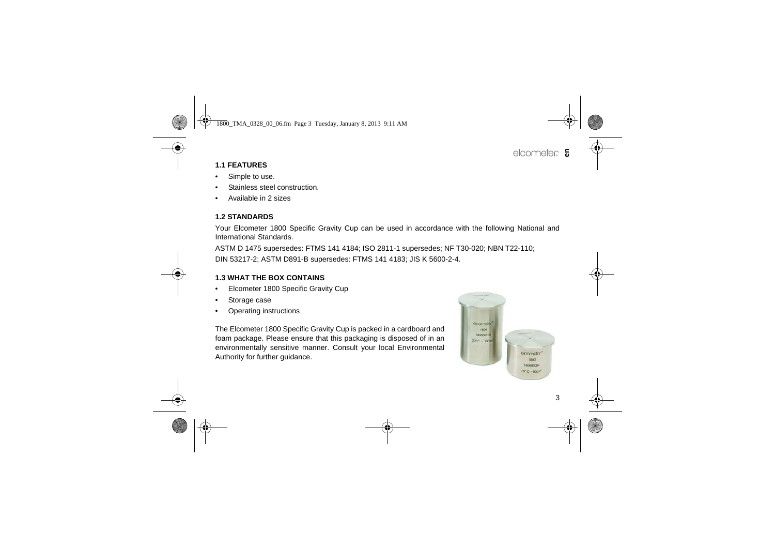## **1.1 FEATURES**

- •Simple to use.
- •Stainless steel construction.
- •Available in 2 sizes

## **1.2 STANDARDS**

Your Elcometer 1800 Specific Gravity Cup can be used in accordance with the following National and International Standards.

ASTM D 1475 supersedes: FTMS 141 4184; ISO 2811-1 supersedes; NF T30-020; NBN T22-110;

DIN 53217-2; ASTM D891-B supersedes: FTMS 141 4183; JIS K 5600-2-4.

### **1.3 WHAT THE BOX CONTAINS**

- •Elcometer 1800 Specific Gravity Cup
- •Storage case
- •Operating instructions

The Elcometer 1800 Specific Gravity Cup is packed in a cardboard and foam package. Please ensure that this packaging is disposed of in an environmentally sensitive manner. Consult your local Environmental Authority for further guidance.

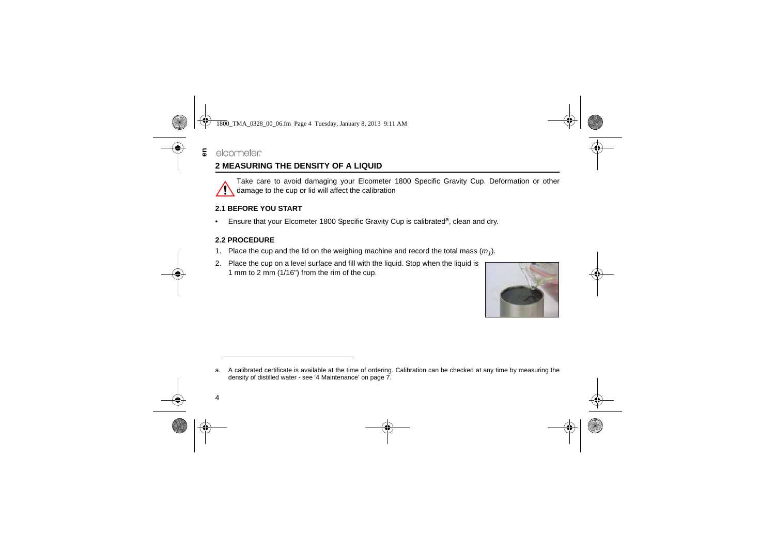# <span id="page-5-0"></span>**2 MEASURING THE DENSITY OF A LIQUID**

Take care to avoid damaging your Elcometer 1800 Specific Gravity Cup. Deformation or other damage to the cup or lid will affect the calibration

## **2.1 BEFORE YOU START**

•Ensure that your Elcometer 1800 Specific Gravity Cup is calibrated<sup>a</sup>, clean and dry.

## **2.2 PROCEDURE**

- 1. Place the cup and the lid on the weighing machine and record the total mass  $(m_1)$ .
- 2. Place the cup on a level surface and fill with the liquid. Stop when the liquid is 1 mm to 2 mm (1/16") from the rim of the cup.



a. A calibrated certificate is available at the time of ordering. Calibration can be checked at any time by measuring the density of distilled water - see '4 Maintenance' on page 7.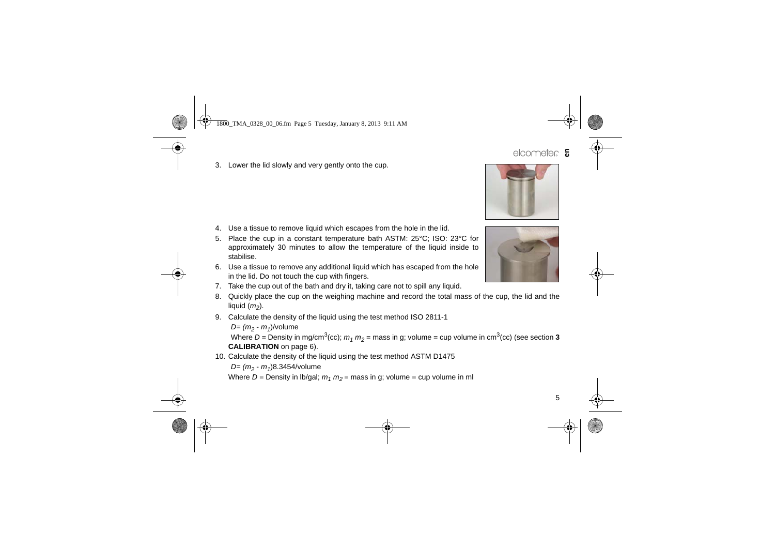### 3. Lower the lid slowly and very gently onto the cup.

- 4. Use a tissue to remove liquid which escapes from the hole in the lid.
- 5. Place the cup in a constant temperature bath ASTM: 25°C; ISO: 23°C for approximately 30 minutes to allow the temperature of the liquid inside to stabilise.
- 6. Use a tissue to remove any additional liquid which has escaped from the hole in the lid. Do not touch the cup with fingers.
- 7. Take the cup out of the bath and dry it, taking care not to spill any liquid.
- 8. Quickly place the cup on the weighing machine and record the total mass of the cup, the lid and the liquid ( *m2*).
- 9. Calculate the density of the liquid using the test method ISO 2811-1

*D= (m<sub>2</sub> - m<sub>1</sub>)/*volume Where  $D$  = Density in mg/cm $^3$ (cc);  $m_1$   $m_2$  = mass in g; volume = cup volume in cm $^3$ (cc) (see section  $\bf 3$ **CALIBRATION** on page 6).

10. Calculate the density of the liquid using the test method ASTM D1475

*D= (m<sub>2</sub> - m<sub>1</sub>)8.3454/volume* 

Where *D =* Density in lb/gal; *m1 m2* = mass in g; volume = cup volume in ml



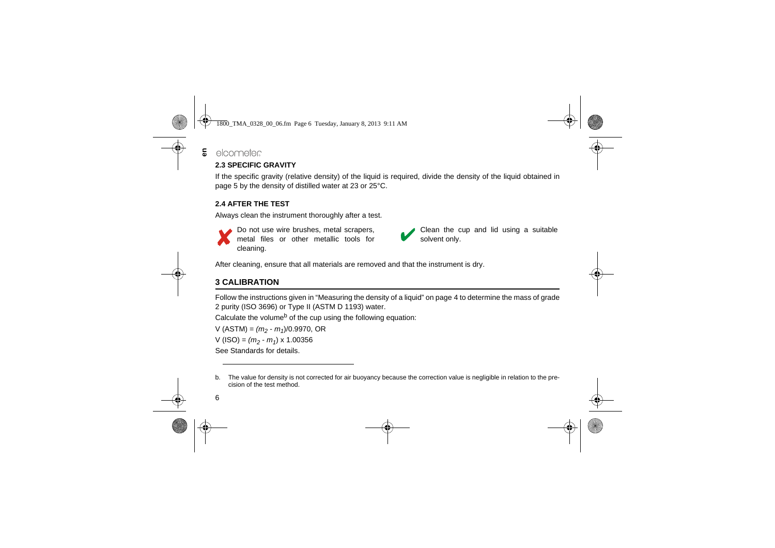#### elcometer **en**

## **2.3 SPECIFIC GRAVITY**

If the specific gravity (relative density) of the liquid is required, divide the density of the liquid obtained in page 5 by the density of distilled water at 23 or 25°C.

## **2.4 AFTER THE TEST**

Always clean the instrument thoroughly after a test.



Do not use wire brushes, metal scrapers, metal files or other metallic tools for cleaning.

Clean the cup and lid using a suitable solvent only.

After cleaning, ensure that all materials are removed and that the instrument is dry.

# <span id="page-7-0"></span>**3 CALIBRATION**

Follow the instructions given in ["Measuring the density of a liquid" on page](#page-5-0) 4 to determine the mass of grade 2 purity (ISO 3696) or Type II (ASTM D 1193) water.

Calculate the volume<sup>b</sup> of the cup using the following equation:

 $V (ASTM) = (m_2 - m_1)/0.9970$ , OR

 $V (ISO) = (m_2 - m_1) \times 1.00356$ 

See Standards for details.

b. The value for density is not corrected for air buoyancy because the correction value is negligible in relation to the precision of the test method.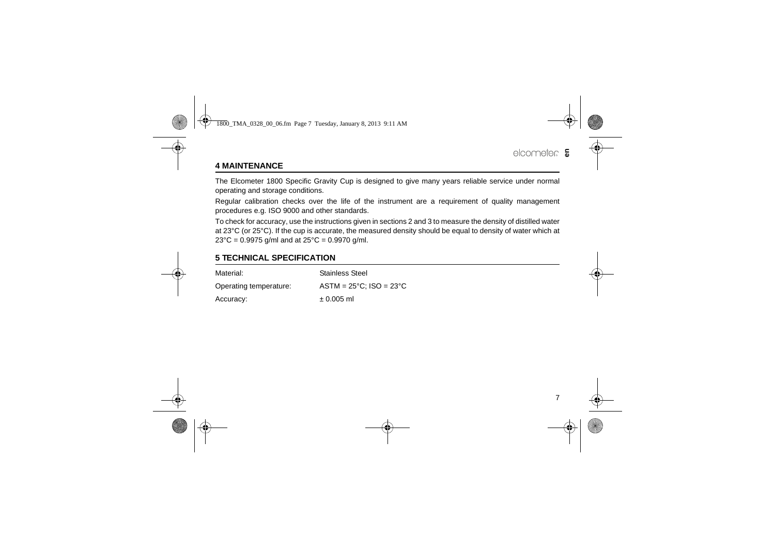# <span id="page-8-0"></span>**4 MAINTENANCE**

The Elcometer 1800 Specific Gravity Cup is designed to give many years reliable service under normal operating and storage conditions.

Regular calibration checks over the life of the instrument are a requirement of quality management procedures e.g. ISO 9000 and other standards.

To check for accuracy, use the instructions given in sections [2](#page-5-0) and [3](#page-7-0) to measure the density of distilled water at 23°C (or 25°C). If the cup is accurate, the measured density should be equal to density of water which at  $23^{\circ}$ C = 0.9975 g/ml and at  $25^{\circ}$ C = 0.9970 g/ml.

## <span id="page-8-1"></span>**5 TECHNICAL SPECIFICATION**

| Material:              | <b>Stainless Steel</b>                     |
|------------------------|--------------------------------------------|
| Operating temperature: | $ASTM = 25^{\circ}C$ : $ISO = 23^{\circ}C$ |
| Accuracy:              | $± 0.005$ ml                               |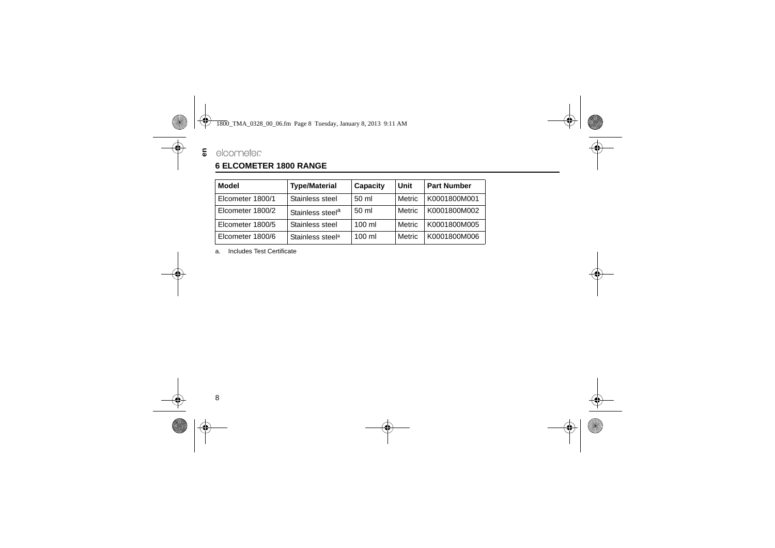# **5** elcometer

## <span id="page-9-0"></span>**6 ELCOMETER 1800 RANGE**

| <b>Model</b>     | <b>Type/Material</b>         | Capacity          | Unit   | <b>Part Number</b> |
|------------------|------------------------------|-------------------|--------|--------------------|
| Elcometer 1800/1 | Stainless steel              | 50 ml             | Metric | K0001800M001       |
| Elcometer 1800/2 | Stainless steel <sup>a</sup> | 50 ml             | Metric | K0001800M002       |
| Elcometer 1800/5 | Stainless steel              | $100 \mathrm{m}$  | Metric | K0001800M005       |
| Elcometer 1800/6 | Stainless steel <sup>a</sup> | $100 \mathrm{ml}$ | Metric | K0001800M006       |

a. Includes Test Certificate